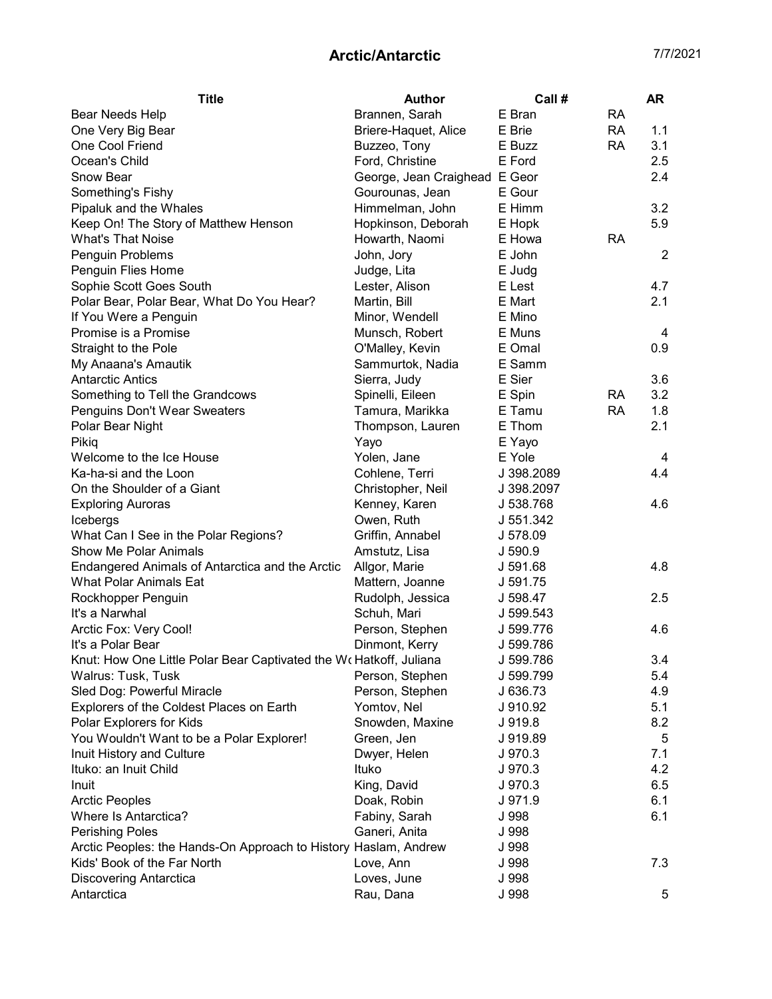## Arctic/Antarctic 7/7/2021

| <b>Title</b>                                                       | <b>Author</b>                 | Call#      |           | <b>AR</b>      |
|--------------------------------------------------------------------|-------------------------------|------------|-----------|----------------|
| Bear Needs Help                                                    | Brannen, Sarah                | E Bran     | <b>RA</b> |                |
| One Very Big Bear                                                  | Briere-Haquet, Alice          | E Brie     | <b>RA</b> | 1.1            |
| One Cool Friend                                                    | Buzzeo, Tony                  | E Buzz     | <b>RA</b> | 3.1            |
| Ocean's Child                                                      | Ford, Christine               | E Ford     |           | 2.5            |
| Snow Bear                                                          | George, Jean Craighead E Geor |            |           | 2.4            |
| Something's Fishy                                                  | Gourounas, Jean               | E Gour     |           |                |
| Pipaluk and the Whales                                             | Himmelman, John               | E Himm     |           | 3.2            |
| Keep On! The Story of Matthew Henson                               | Hopkinson, Deborah            | E Hopk     |           | 5.9            |
| <b>What's That Noise</b>                                           | Howarth, Naomi                | E Howa     | <b>RA</b> |                |
| Penguin Problems                                                   | John, Jory                    | E John     |           | $\overline{2}$ |
| Penguin Flies Home                                                 | Judge, Lita                   | E Judg     |           |                |
| Sophie Scott Goes South                                            | Lester, Alison                | E Lest     |           | 4.7            |
| Polar Bear, Polar Bear, What Do You Hear?                          | Martin, Bill                  | E Mart     |           | 2.1            |
| If You Were a Penguin                                              | Minor, Wendell                | E Mino     |           |                |
| Promise is a Promise                                               | Munsch, Robert                | E Muns     |           | 4              |
| Straight to the Pole                                               | O'Malley, Kevin               | E Omal     |           | 0.9            |
| My Anaana's Amautik                                                | Sammurtok, Nadia              | E Samm     |           |                |
| <b>Antarctic Antics</b>                                            | Sierra, Judy                  | E Sier     |           | 3.6            |
| Something to Tell the Grandcows                                    | Spinelli, Eileen              | E Spin     | <b>RA</b> | 3.2            |
| Penguins Don't Wear Sweaters                                       | Tamura, Marikka               | E Tamu     | <b>RA</b> | 1.8            |
| Polar Bear Night                                                   | Thompson, Lauren              | E Thom     |           | 2.1            |
| Pikiq                                                              | Yayo                          | E Yayo     |           |                |
| Welcome to the Ice House                                           | Yolen, Jane                   | E Yole     |           | 4              |
| Ka-ha-si and the Loon                                              | Cohlene, Terri                | J 398.2089 |           | 4.4            |
| On the Shoulder of a Giant                                         | Christopher, Neil             | J 398.2097 |           |                |
| <b>Exploring Auroras</b>                                           | Kenney, Karen                 | J 538.768  |           | 4.6            |
| Icebergs                                                           | Owen, Ruth                    | J 551.342  |           |                |
| What Can I See in the Polar Regions?                               | Griffin, Annabel              | J 578.09   |           |                |
| <b>Show Me Polar Animals</b>                                       | Amstutz, Lisa                 | J 590.9    |           |                |
| Endangered Animals of Antarctica and the Arctic                    | Allgor, Marie                 | J 591.68   |           | 4.8            |
| <b>What Polar Animals Eat</b>                                      | Mattern, Joanne               | J 591.75   |           |                |
| Rockhopper Penguin                                                 | Rudolph, Jessica              | J 598.47   |           | 2.5            |
| It's a Narwhal                                                     | Schuh, Mari                   | J 599.543  |           |                |
| Arctic Fox: Very Cool!                                             | Person, Stephen               | J 599.776  |           | 4.6            |
| It's a Polar Bear                                                  | Dinmont, Kerry                | J 599.786  |           |                |
| Knut: How One Little Polar Bear Captivated the Wo Hatkoff, Juliana |                               | J 599.786  |           | 3.4            |
| Walrus: Tusk, Tusk                                                 | Person, Stephen               | J 599.799  |           | 5.4            |
| Sled Dog: Powerful Miracle                                         | Person, Stephen               | J 636.73   |           | 4.9            |
| Explorers of the Coldest Places on Earth                           | Yomtov, Nel                   | J 910.92   |           | 5.1            |
| Polar Explorers for Kids                                           | Snowden, Maxine               | J 919.8    |           | 8.2            |
| You Wouldn't Want to be a Polar Explorer!                          | Green, Jen                    | J 919.89   |           | 5              |
| Inuit History and Culture                                          | Dwyer, Helen                  | J 970.3    |           | 7.1            |
| Ituko: an Inuit Child                                              | Ituko                         | J 970.3    |           | 4.2            |
| Inuit                                                              | King, David                   | J 970.3    |           | 6.5            |
| <b>Arctic Peoples</b>                                              | Doak, Robin                   | J 971.9    |           | 6.1            |
| Where Is Antarctica?                                               | Fabiny, Sarah                 | J 998      |           | 6.1            |
| <b>Perishing Poles</b>                                             | Ganeri, Anita                 | J 998      |           |                |
| Arctic Peoples: the Hands-On Approach to History Haslam, Andrew    |                               | J 998      |           |                |
| Kids' Book of the Far North                                        | Love, Ann                     | J 998      |           | 7.3            |
| <b>Discovering Antarctica</b>                                      | Loves, June                   | J 998      |           |                |
| Antarctica                                                         | Rau, Dana                     | J 998      |           | 5              |
|                                                                    |                               |            |           |                |